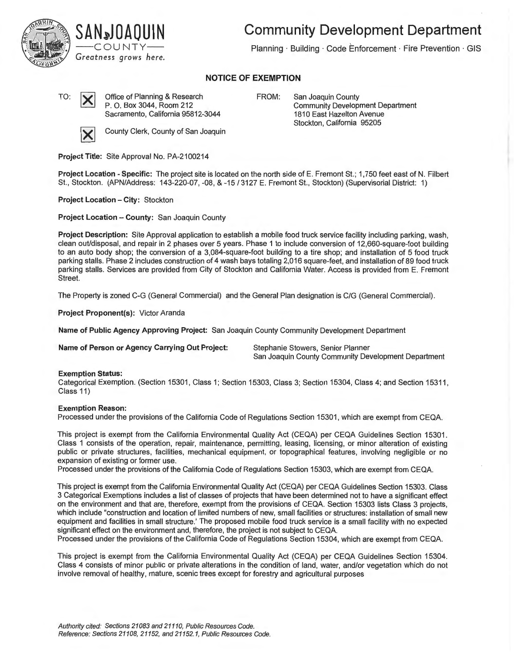

# SAN»JOAQUIN ——COUNTY—— *Greatness grows here.*

**Community Development Department** 

Planning · Building · Code Enforcement · Fire Prevention · GIS

## **NOTICE OF EXEMPTION**

TO:  $\sum$  Office of Planning & Research P. 0. Box 3044, Room 212 Sacramento, California 95812-3044

FROM: San Joaquin County Community Development Department 1810 East Hazelton Avenue Stockton, California 95205



**County Clerk, County of San Joaquin** 

**Project Title:** Site Approval No. PA-2100214

**Project Location -Specific:** The project site is located on the north side of E. Fremont St.; 1,750 feet east of N. Filbert St., Stockton. (APN/Address: 143-220-07, -08, & -15 / 3127 E. Fremont St., Stockton) (Supervisorial District: 1)

**Project Location - City: Stockton** 

**Project Location - County: San Joaquin County** 

**Project Description:** Site Approval application to establish a mobile food truck service facility including parking, wash, clean out/disposal, and repair in 2 phases over 5 years. Phase 1 to include conversion of 12,660-square-foot building to an auto body shop; the conversion of a 3,084-square-foot building to a tire shop; and installation of 5 food truck parking stalls. Phase 2 includes construction of 4 wash bays totaling 2,016 square-feet, and installation of 89 food truck parking stalls. Services are provided from City of Stockton and California Water. Access is provided from E. Fremont Street.

The Property is zoned C-G (General Commercial) and the General Plan designation is C/G (General Commercial).

**Project Proponent(s):** Victor Aranda

**Name of Public Agency Approving Project:** San Joaquin County Community Development Department

**Name of Person or Agency Carrying Out Project:** Stephanie Stowers, Senior Planner

San Joaquin County Community Development Department

#### **Exemption Status:**

Categorical Exemption. (Section 15301, Class 1; Section 15303, Class 3; Section 15304, Class **4;** and Section 15311, Class 11)

#### **Exemption Reason:**

Processed under the provisions of the California Code of Regulations Section 15301, which are exempt from CEQA.

This project is exempt from the California Environmental Quality Act (CEQA) per CEQA Guidelines Section 15301 . Class 1 consists of the operation, repair, maintenance, permitting, leasing, licensing, or minor alteration of existing public or private structures, facilities, mechanical equipment, or topographical features, involving negligible or no expansion of existing or former use.

Processed under the provisions of the California Code of Regulations Section 15303, which are exempt from CEQA.

This project is exempt from the California Environmental Quality Act (CEQA) per CEQA Guidelines Section 15303. Class 3 Categorical Exemptions includes a list of classes of projects that have been determined not to have a significant effect on the environment and that are, therefore, exempt from the provisions of CEQA. Section 15303 lists Class 3 projects, which include "construction and location of limited numbers of new, small facilities or structures: installation of small new equipment and facilities in small structure.' The proposed mobile food truck service is a small facility with no expected significant effect on the environment and, therefore, the project is not subject to CEQA.

Processed under the provisions of the California Code of Regulations Section 15304, which are exempt from CEQA.

This project is exempt from the California Environmental Quality Act (CEQA) per CEQA Guidelines Section 15304. Class 4 consists of minor public or private alterations in the condition of land, water, and/or vegetation which do not involve removal of healthy, mature, scenic trees except for forestry and agricultural purposes